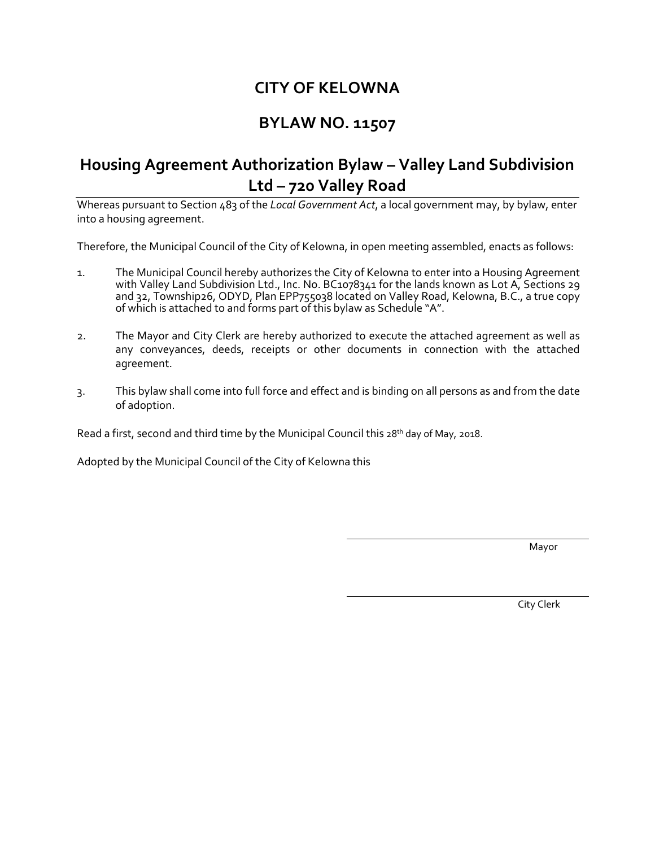# **CITY OF KELOWNA**

# **BYLAW NO. 11507**

# **Housing Agreement Authorization Bylaw – Valley Land Subdivision Ltd – 720 Valley Road**

Whereas pursuant to Section 483 of the *Local Government Act*, a local government may, by bylaw, enter into a housing agreement.

Therefore, the Municipal Council of the City of Kelowna, in open meeting assembled, enacts as follows:

- 1. The Municipal Council hereby authorizes the City of Kelowna to enter into a Housing Agreement with Valley Land Subdivision Ltd., Inc. No. BC1078341 for the lands known as Lot A, Sections 29 and 32, Township26, ODYD, Plan EPP755038 located on Valley Road, Kelowna, B.C., a true copy of which is attached to and forms part of this bylaw as Schedule "A".
- 2. The Mayor and City Clerk are hereby authorized to execute the attached agreement as well as any conveyances, deeds, receipts or other documents in connection with the attached agreement.
- 3. This bylaw shall come into full force and effect and is binding on all persons as and from the date of adoption.

Read a first, second and third time by the Municipal Council this  $28<sup>th</sup>$  day of May, 2018.

Adopted by the Municipal Council of the City of Kelowna this

Mayor and the contract of the contract of the contract of the contract of the contract of the contract of the contract of the contract of the contract of the contract of the contract of the contract of the contract of the

City Clerk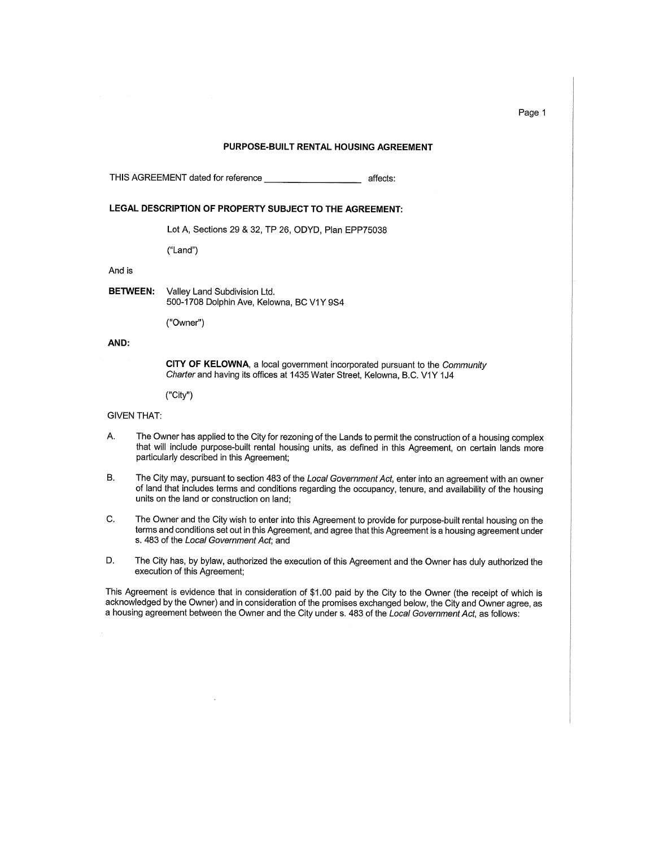### PURPOSE-BUILT RENTAL HOUSING AGREEMENT

THIS AGREEMENT dated for reference affects:

#### LEGAL DESCRIPTION OF PROPERTY SUBJECT TO THE AGREEMENT:

Lot A, Sections 29 & 32, TP 26, ODYD, Plan EPP75038

("Land")

## And is

**BETWEEN:** Valley Land Subdivision Ltd. 500-1708 Dolphin Ave, Kelowna, BC V1Y 9S4

("Owner")

# AND:

CITY OF KELOWNA, a local government incorporated pursuant to the Community Charter and having its offices at 1435 Water Street, Kelowna, B.C. V1Y 1J4

("City")

#### **GIVEN THAT:**

- A. The Owner has applied to the City for rezoning of the Lands to permit the construction of a housing complex that will include purpose-built rental housing units, as defined in this Agreement, on certain lands more particularly described in this Agreement;
- **B.** The City may, pursuant to section 483 of the Local Government Act, enter into an agreement with an owner of land that includes terms and conditions regarding the occupancy, tenure, and availability of the housing units on the land or construction on land;
- C. The Owner and the City wish to enter into this Agreement to provide for purpose-built rental housing on the terms and conditions set out in this Agreement, and agree that this Agreement is a housing agreement under s. 483 of the Local Government Act; and
- D. The City has, by bylaw, authorized the execution of this Agreement and the Owner has duly authorized the execution of this Agreement;

This Agreement is evidence that in consideration of \$1.00 paid by the City to the Owner (the receipt of which is acknowledged by the Owner) and in consideration of the promises exchanged below, the City and Owner agree, as a housing agreement between the Owner and the City under s. 483 of the Local Government Act, as follows:

Page 1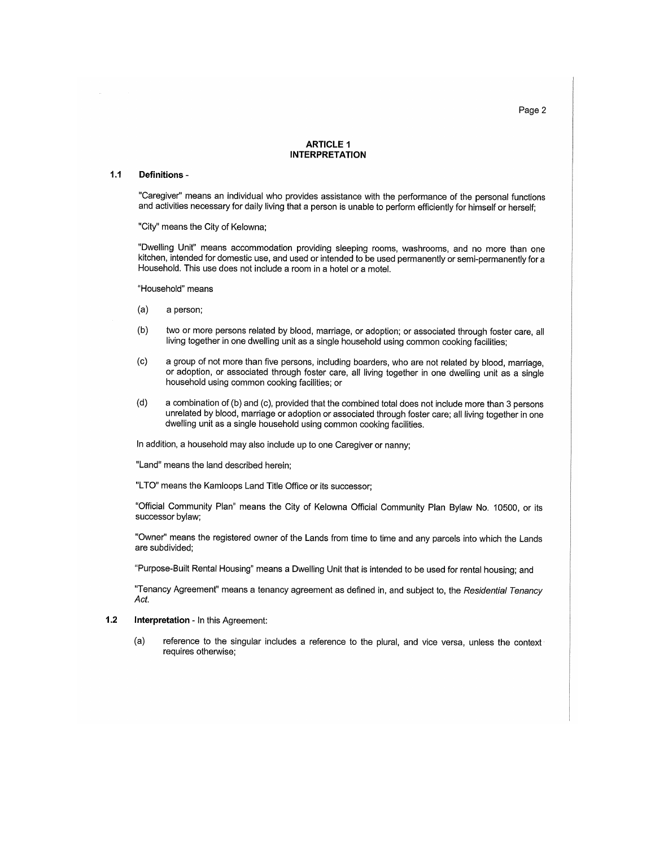Page 2

#### **ARTICLE 1 INTERPRETATION**

#### $1.1$ Definitions -

"Caregiver" means an individual who provides assistance with the performance of the personal functions and activities necessary for daily living that a person is unable to perform efficiently for himself or herself;

"City" means the City of Kelowna;

"Dwelling Unit" means accommodation providing sleeping rooms, washrooms, and no more than one kitchen, intended for domestic use, and used or intended to be used permanently or semi-permanently for a Household. This use does not include a room in a hotel or a motel.

"Household" means

- $(a)$ a person;
- two or more persons related by blood, marriage, or adoption; or associated through foster care, all  $(b)$ living together in one dwelling unit as a single household using common cooking facilities;
- a group of not more than five persons, including boarders, who are not related by blood, marriage,  $(c)$ or adoption, or associated through foster care, all living together in one dwelling unit as a single household using common cooking facilities; or
- $(d)$ a combination of (b) and (c), provided that the combined total does not include more than 3 persons unrelated by blood, marriage or adoption or associated through foster care; all living together in one dwelling unit as a single household using common cooking facilities.

In addition, a household may also include up to one Caregiver or nanny;

"Land" means the land described herein;

"LTO" means the Kamloops Land Title Office or its successor;

"Official Community Plan" means the City of Kelowna Official Community Plan Bylaw No. 10500, or its successor bylaw;

"Owner" means the registered owner of the Lands from time to time and any parcels into which the Lands are subdivided;

"Purpose-Built Rental Housing" means a Dwelling Unit that is intended to be used for rental housing; and

"Tenancy Agreement" means a tenancy agreement as defined in, and subject to, the Residential Tenancy Act.

- $1.2$ Interpretation - In this Agreement:
	- $(a)$ reference to the singular includes a reference to the plural, and vice versa, unless the context requires otherwise;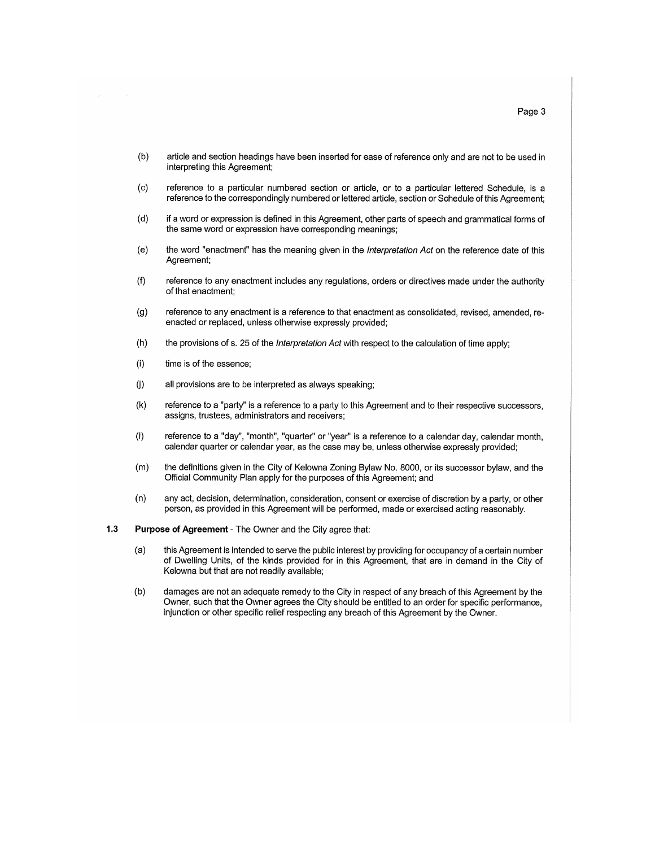- $(b)$ article and section headings have been inserted for ease of reference only and are not to be used in interpreting this Agreement:
- $(c)$ reference to a particular numbered section or article, or to a particular lettered Schedule, is a reference to the correspondingly numbered or lettered article, section or Schedule of this Agreement;
- $(d)$ if a word or expression is defined in this Agreement, other parts of speech and grammatical forms of the same word or expression have corresponding meanings:
- the word "enactment" has the meaning given in the Interpretation Act on the reference date of this  $(e)$ Agreement;
- reference to any enactment includes any regulations, orders or directives made under the authority  $(f)$ of that enactment:
- $(g)$ reference to any enactment is a reference to that enactment as consolidated, revised, amended, reenacted or replaced, unless otherwise expressly provided;
- $(h)$ the provisions of s. 25 of the Interpretation Act with respect to the calculation of time apply;
- $(i)$ time is of the essence;
- $(i)$ all provisions are to be interpreted as always speaking:
- $(k)$ reference to a "party" is a reference to a party to this Agreement and to their respective successors, assigns, trustees, administrators and receivers:
- $(1)$ reference to a "day", "month", "quarter" or "year" is a reference to a calendar day, calendar month, calendar quarter or calendar year, as the case may be, unless otherwise expressly provided;
- the definitions given in the City of Kelowna Zoning Bylaw No. 8000, or its successor bylaw, and the  $(m)$ Official Community Plan apply for the purposes of this Agreement; and
- $(n)$ any act, decision, determination, consideration, consent or exercise of discretion by a party, or other person, as provided in this Agreement will be performed, made or exercised acting reasonably.
- $1.3$ Purpose of Agreement - The Owner and the City agree that:
	- $(a)$ this Agreement is intended to serve the public interest by providing for occupancy of a certain number of Dwelling Units, of the kinds provided for in this Agreement, that are in demand in the City of Kelowna but that are not readily available;
	- damages are not an adequate remedy to the City in respect of any breach of this Agreement by the  $(b)$ Owner, such that the Owner agrees the City should be entitled to an order for specific performance. injunction or other specific relief respecting any breach of this Agreement by the Owner.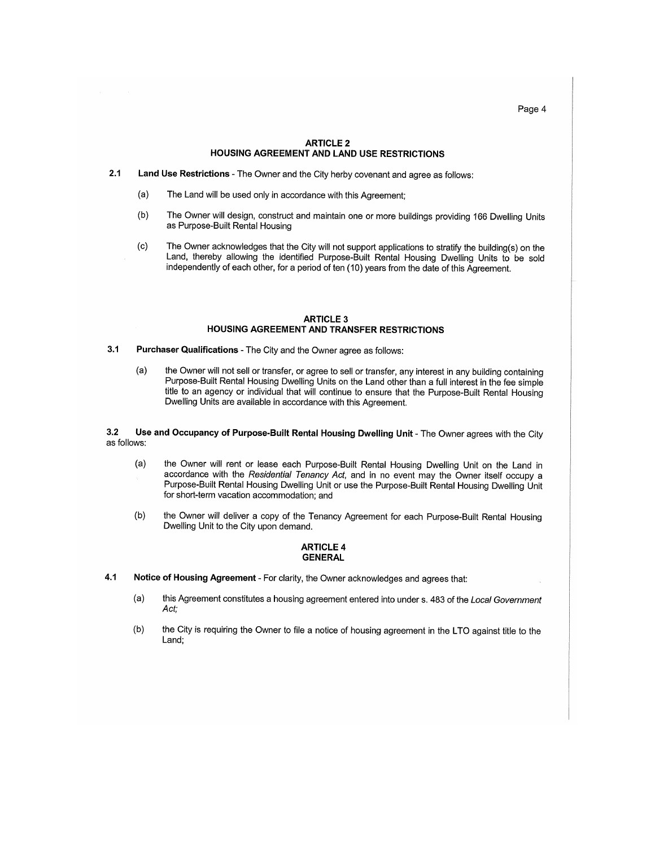Page 4

### **ARTICLE 2 HOUSING AGREEMENT AND LAND USE RESTRICTIONS**

- $2.1$ Land Use Restrictions - The Owner and the City herby covenant and agree as follows:
	- $(a)$ The Land will be used only in accordance with this Agreement;
	- The Owner will design, construct and maintain one or more buildings providing 166 Dwelling Units  $(b)$ as Purpose-Built Rental Housing
	- $(c)$ The Owner acknowledges that the City will not support applications to stratify the building(s) on the Land, thereby allowing the identified Purpose-Built Rental Housing Dwelling Units to be sold independently of each other, for a period of ten (10) years from the date of this Agreement.

## **ARTICLE 3 HOUSING AGREEMENT AND TRANSFER RESTRICTIONS**

- $3.1$ **Purchaser Qualifications - The City and the Owner agree as follows:** 
	- $(a)$ the Owner will not sell or transfer, or agree to sell or transfer, any interest in any building containing Purpose-Built Rental Housing Dwelling Units on the Land other than a full interest in the fee simple title to an agency or individual that will continue to ensure that the Purpose-Built Rental Housing Dwelling Units are available in accordance with this Agreement.

Use and Occupancy of Purpose-Built Rental Housing Dwelling Unit - The Owner agrees with the City  $3.2$ as follows:

- $(a)$ the Owner will rent or lease each Purpose-Built Rental Housing Dwelling Unit on the Land in accordance with the Residential Tenancy Act, and in no event may the Owner itself occupy a Purpose-Built Rental Housing Dwelling Unit or use the Purpose-Built Rental Housing Dwelling Unit for short-term vacation accommodation; and
- the Owner will deliver a copy of the Tenancy Agreement for each Purpose-Built Rental Housing  $(b)$ Dwelling Unit to the City upon demand.

## **ARTICLE 4 GENERAL**

- $4.1$ Notice of Housing Agreement - For clarity, the Owner acknowledges and agrees that:
	- $(a)$ this Agreement constitutes a housing agreement entered into under s. 483 of the Local Government Act:
	- $(b)$ the City is requiring the Owner to file a notice of housing agreement in the LTO against title to the Land;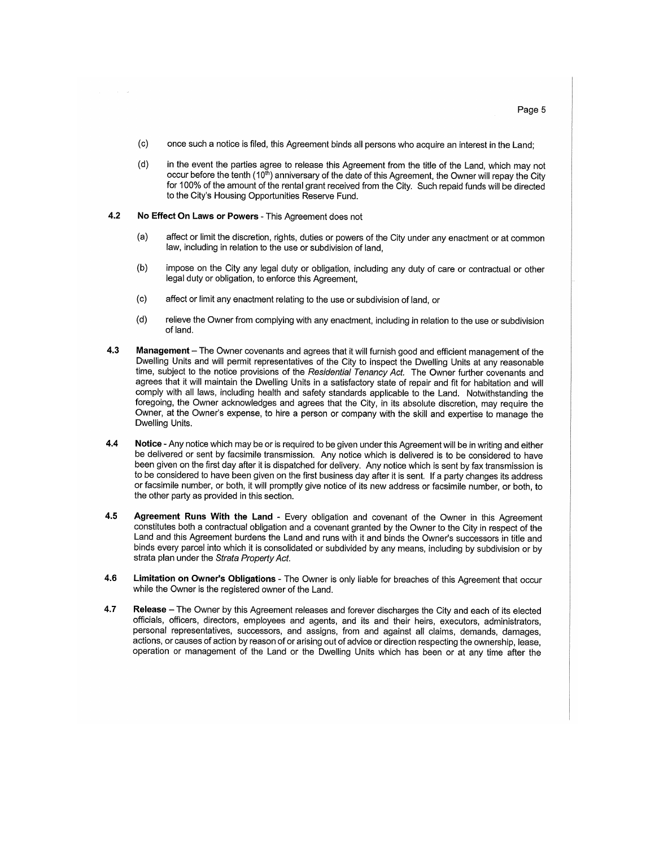- $(c)$ once such a notice is filed, this Agreement binds all persons who acquire an interest in the Land;
- $(d)$ in the event the parties agree to release this Agreement from the title of the Land, which may not occur before the tenth (10<sup>th</sup>) anniversary of the date of this Agreement, the Owner will repay the City for 100% of the amount of the rental grant received from the City. Such repaid funds will be directed to the City's Housing Opportunities Reserve Fund.
- $4.2$ No Effect On Laws or Powers - This Agreement does not
	- affect or limit the discretion, rights, duties or powers of the City under any enactment or at common  $(a)$ law, including in relation to the use or subdivision of land,
	- $(b)$ impose on the City any legal duty or obligation, including any duty of care or contractual or other legal duty or obligation, to enforce this Agreement,
	- $(c)$ affect or limit any enactment relating to the use or subdivision of land, or
	- relieve the Owner from complying with any enactment, including in relation to the use or subdivision  $(d)$ of land.
- $4.3$ Management - The Owner covenants and agrees that it will furnish good and efficient management of the Dwelling Units and will permit representatives of the City to inspect the Dwelling Units at any reasonable time, subject to the notice provisions of the Residential Tenancy Act. The Owner further covenants and agrees that it will maintain the Dwelling Units in a satisfactory state of repair and fit for habitation and will comply with all laws, including health and safety standards applicable to the Land. Notwithstanding the foregoing, the Owner acknowledges and agrees that the City, in its absolute discretion, may require the Owner, at the Owner's expense, to hire a person or company with the skill and expertise to manage the Dwelling Units.
- Notice Any notice which may be or is required to be given under this Agreement will be in writing and either 4.4 be delivered or sent by facsimile transmission. Any notice which is delivered is to be considered to have been given on the first day after it is dispatched for delivery. Any notice which is sent by fax transmission is to be considered to have been given on the first business day after it is sent. If a party changes its address or facsimile number, or both, it will promptly give notice of its new address or facsimile number, or both, to the other party as provided in this section.
- 4.5 Agreement Runs With the Land - Every obligation and covenant of the Owner in this Agreement constitutes both a contractual obligation and a covenant granted by the Owner to the City in respect of the Land and this Agreement burdens the Land and runs with it and binds the Owner's successors in title and binds every parcel into which it is consolidated or subdivided by any means, including by subdivision or by strata plan under the Strata Property Act.
- Limitation on Owner's Obligations The Owner is only liable for breaches of this Agreement that occur 4.6 while the Owner is the registered owner of the Land.
- 4.7 Release – The Owner by this Agreement releases and forever discharges the City and each of its elected officials, officers, directors, employees and agents, and its and their heirs, executors, administrators, personal representatives, successors, and assigns, from and against all claims, demands, damages, actions, or causes of action by reason of or arising out of advice or direction respecting the ownership, lease, operation or management of the Land or the Dwelling Units which has been or at any time after the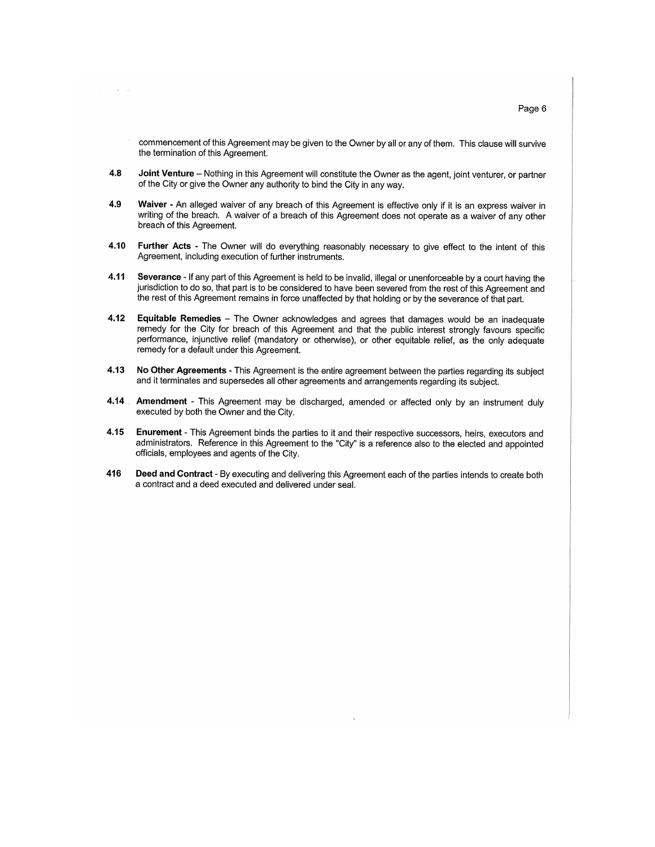commencement of this Agreement may be given to the Owner by all or any of them. This clause will survive the termination of this Agreement.

- 4.8 Joint Venture - Nothing in this Agreement will constitute the Owner as the agent, joint venturer, or partner of the City or give the Owner any authority to bind the City in any way.
- 4.9 Waiver - An alleged waiver of any breach of this Agreement is effective only if it is an express waiver in writing of the breach. A waiver of a breach of this Agreement does not operate as a waiver of any other breach of this Agreement.
- 4.10 Further Acts - The Owner will do everything reasonably necessary to give effect to the intent of this Agreement, including execution of further instruments.
- 4.11 Severance - If any part of this Agreement is held to be invalid, illegal or unenforceable by a court having the jurisdiction to do so, that part is to be considered to have been severed from the rest of this Agreement and the rest of this Agreement remains in force unaffected by that holding or by the severance of that part.
- 4.12 Equitable Remedies - The Owner acknowledges and agrees that damages would be an inadequate remedy for the City for breach of this Agreement and that the public interest strongly favours specific performance, injunctive relief (mandatory or otherwise), or other equitable relief, as the only adequate remedy for a default under this Agreement.
- 4.13 No Other Agreements - This Agreement is the entire agreement between the parties regarding its subject and it terminates and supersedes all other agreements and arrangements regarding its subject.
- $4.14$ Amendment - This Agreement may be discharged, amended or affected only by an instrument duly executed by both the Owner and the City.
- Enurement This Agreement binds the parties to it and their respective successors, heirs, executors and 4.15 administrators. Reference in this Agreement to the "City" is a reference also to the elected and appointed officials, employees and agents of the City.
- 416 Deed and Contract - By executing and delivering this Agreement each of the parties intends to create both a contract and a deed executed and delivered under seal.